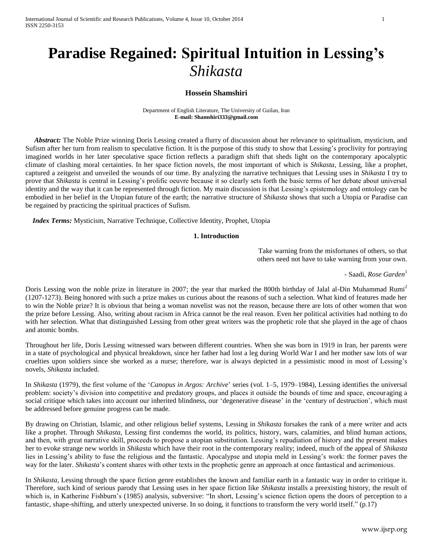International Journal of Scientific and Research Publications, Volume 4, Issue 10, October 2014 1 ISSN 2250-3153

# **Paradise Regained: Spiritual Intuition in Lessing's**  *Shikasta*

## **Hossein Shamshiri**

Department of English Literature, The University of Guilan, Iran **E-mail: [Shamshiri333@gmail.com](mailto:Shamshiri333@gmail.com)**

 *Abstract:* The Noble Prize winning Doris Lessing created a flurry of discussion about her relevance to spiritualism, mysticism, and Sufism after her turn from realism to speculative fiction. It is the purpose of this study to show that Lessing's proclivity for portraying imagined worlds in her later speculative space fiction reflects a paradigm shift that sheds light on the contemporary apocalyptic climate of clashing moral certainties. In her space fiction novels, the most important of which is *Shikasta,* Lessing, like a prophet, captured a zeitgeist and unveiled the wounds of our time. By analyzing the narrative techniques that Lessing uses in *Shikasta* I try to prove that *Shikasta* is central in Lessing's prolific oeuvre because it so clearly sets forth the basic terms of her debate about universal identity and the way that it can be represented through fiction. My main discussion is that Lessing's epistemology and ontology can be embodied in her belief in the Utopian future of the earth; the narrative structure of *Shikasta* shows that such a Utopia or Paradise can be regained by practicing the spiritual practices of Sufism.

 *Index Terms:* Mysticism, Narrative Technique, Collective Identity, Prophet, Utopia

#### **1. Introduction**

Take warning from the misfortunes of others, so that others need not have to take warning from your own.

- Saadi, *Rose Garden*<sup>1</sup>

Doris Lessing won the noble prize in literature in 2007; the year that marked the 800th birthday of Jalal al-Din Muhammad Rumi<sup>2</sup> (1207-1273). Being honored with such a prize makes us curious about the reasons of such a selection. What kind of features made her to win the Noble prize? It is obvious that being a woman novelist was not the reason, because there are lots of other women that won the prize before Lessing. Also, writing about racism in Africa cannot be the real reason. Even her political activities had nothing to do with her selection. What that distinguished Lessing from other great writers was the prophetic role that she played in the age of chaos and atomic bombs.

Throughout her life, Doris Lessing witnessed wars between different countries. When she was born in 1919 in Iran, her parents were in a state of psychological and physical breakdown, since her father had lost a leg during World War I and her mother saw lots of war cruelties upon soldiers since she worked as a nurse; therefore, war is always depicted in a pessimistic mood in most of Lessing's novels, *Shikasta* included.

In *Shikasta* (1979), the first volume of the '*Canopus in Argos: Archive*' series (vol. 1–5, 1979–1984), Lessing identifies the universal problem: society's division into competitive and predatory groups, and places it outside the bounds of time and space, encouraging a social critique which takes into account our inherited blindness, our 'degenerative disease' in the 'century of destruction', which must be addressed before genuine progress can be made.

By drawing on Christian, Islamic, and other religious belief systems, Lessing in *Shikasta* forsakes the rank of a mere writer and acts like a prophet. Through *Shikasta*, Lessing first condemns the world, its politics, history, wars, calamities, and blind human actions, and then, with great narrative skill, proceeds to propose a utopian substitution. Lessing's repudiation of history and the present makes her to evoke strange new worlds in *Shikasta* which have their root in the contemporary reality; indeed, much of the appeal of *Shikasta* lies in Lessing's ability to fuse the religious and the fantastic. Apocalypse and utopia meld in Lessing's work: the former paves the way for the later. *Shikasta*'s content shares with other texts in the prophetic genre an approach at once fantastical and acrimonious.

In *Shikasta,* Lessing through the space fiction genre establishes the known and familiar earth in a fantastic way in order to critique it. Therefore, such kind of serious parody that Lessing uses in her space fiction like *Shikasta* installs a preexisting history, the result of which is, in Katherine Fishburn's (1985) analysis, subversive: "In short, Lessing's science fiction opens the doors of perception to a fantastic, shape-shifting, and utterly unexpected universe. In so doing, it functions to transform the very world itself." (p.17)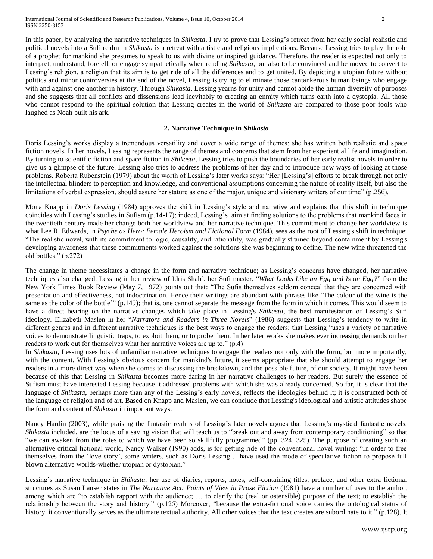In this paper, by analyzing the narrative techniques in *Shikasta*, I try to prove that Lessing's retreat from her early social realistic and political novels into a Sufi realm in *Shikasta* is a retreat with artistic and religious implications. Because Lessing tries to play the role of a prophet for mankind she presumes to speak to us with divine or inspired guidance. Therefore, the reader is expected not only to interpret, understand, foretell, or engage sympathetically when reading *Shikasta*, but also to be convinced and be moved to convert to Lessing's religion, a religion that its aim is to get ride of all the differences and to get united. By depicting a utopian future without politics and minor controversies at the end of the novel, Lessing is trying to eliminate those cantankerous human beings who engage with and against one another in history. Through *Shikasta*, Lessing yearns for unity and cannot abide the human diversity of purposes and she suggests that all conflicts and dissensions lead inevitably to creating an enmity which turns earth into a dystopia. All those who cannot respond to the spiritual solution that Lessing creates in the world of *Shikasta* are compared to those poor fools who laughed as Noah built his ark.

## **2. Narrative Technique in** *Shikasta*

Doris Lessing's works display a tremendous versatility and cover a wide range of themes; she has written both realistic and space fiction novels. In her novels, Lessing represents the range of themes and concerns that stem from her experiential life and imagination. By turning to scientific fiction and space fiction in *Shikasta*, Lessing tries to push the boundaries of her early realist novels in order to give us a glimpse of the future. Lessing also tries to address the problems of her day and to introduce new ways of looking at those problems. Roberta Rubenstein (1979) about the worth of Lessing's later works says: "Her [Lessing's] efforts to break through not only the intellectual blinders to perception and knowledge, and conventional assumptions concerning the nature of reality itself, but also the limitations of verbal expression, should assure her stature as one of the major, unique and visionary writers of our time" (p.256).

Mona Knapp in *Doris Lessing* (1984) approves the shift in Lessing's style and narrative and explains that this shift in technique coincides with Lessing's studies in Sufism (p.14-17); indeed, Lessing's aim at finding solutions to the problems that mankind faces in the twentieth century made her change both her worldview and her narrative technique. This commitment to change her worldview is what Lee R. Edwards, in *Psyche as Hero: Female Heroism and Fictional Form* (1984), sees as the root of Lessing's shift in technique: "The realistic novel, with its commitment to logic, causality, and rationality, was gradually strained beyond containment by Lessing's developing awareness that these commitments worked against the solutions she was beginning to define. The new wine threatened the old bottles." (p.272)

The change in theme necessitates a change in the form and narrative technique; as Lessing's concerns have changed, her narrative techniques also changed. Lessing in her review of Idris Shah<sup>3</sup>, her Sufi master, "*What Looks Like an Egg and Is an Egg?*" from the New York Times Book Review (May 7, 1972) points out that: "The Sufis themselves seldom conceal that they are concerned with presentation and effectiveness, not indoctrination. Hence their writings are abundant with phrases like 'The colour of the wine is the same as the color of the bottle'" (p.149); that is, one cannot separate the message from the form in which it comes. This would seem to have a direct bearing on the narrative changes which take place in Lessing's *Shikasta*, the best manifestation of Lessing's Sufi ideology. Elizabeth Maslen in her "*Narrators and Readers in Three Novels*" (1986) suggests that Lessing's tendency to write in different genres and in different narrative techniques is the best ways to engage the readers; that Lessing "uses a variety of narrative voices to demonstrate linguistic traps, to exploit them, or to probe them. In her later works she makes ever increasing demands on her readers to work out for themselves what her narrative voices are up to." (p.4)

In *Shikasta,* Lessing uses lots of unfamiliar narrative techniques to engage the readers not only with the form, but more importantly, with the content. With Lessing's obvious concern for mankind's future, it seems appropriate that she should attempt to engage her readers in a more direct way when she comes to discussing the breakdown, and the possible future, of our society. It might have been because of this that Lessing in *Shikasta* becomes more daring in her narrative challenges to her readers. But surely the essence of Sufism must have interested Lessing because it addressed problems with which she was already concerned. So far, it is clear that the language of *Shikasta*, perhaps more than any of the Lessing's early novels, reflects the ideologies behind it; it is constructed both of the language of religion and of art. Based on Knapp and Maslen, we can conclude that Lessing's ideological and artistic attitudes shape the form and content of *Shikasta* in important ways.

Nancy Hardin (2003), while praising the fantastic realms of Lessing's later novels argues that Lessing's mystical fantastic novels, *Shikasta* included, are the locus of a saving vision that will teach us to "break out and away from contemporary conditioning" so that "we can awaken from the roles to which we have been so skillfully programmed" (pp. 324, 325). The purpose of creating such an alternative critical fictional world, Nancy Walker (1990) adds, is for getting ride of the conventional novel writing: "In order to free themselves from the 'love story', some writers, such as Doris Lessing… have used the mode of speculative fiction to propose full blown alternative worlds-whether utopian or dystopian."

Lessing's narrative technique in *Shikasta*, her use of diaries, reports, notes, self-containing titles, preface, and other extra fictional structures as Susan Lanser states in *The Narrative Act: Points of View in Prose Fiction* (1981) have a number of uses to the author, among which are "to establish rapport with the audience; … to clarify the (real or ostensible) purpose of the text; to establish the relationship between the story and history." (p.125) Moreover, "because the extra-fictional voice carries the ontological status of history, it conventionally serves as the ultimate textual authority. All other voices that the text creates are subordinate to it." (p.128). It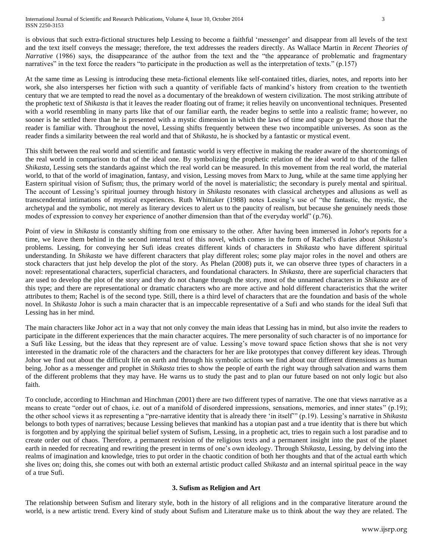is obvious that such extra-fictional structures help Lessing to become a faithful 'messenger' and disappear from all levels of the text and the text itself conveys the message; therefore, the text addresses the readers directly. As Wallace Martin in *Recent Theories of Narrative* (1986) says, the disappearance of the author from the text and the "the appearance of problematic and fragmentary narratives" in the text force the readers "to participate in the production as well as the interpretation of texts." (p.157)

At the same time as Lessing is introducing these meta-fictional elements like self-contained titles, diaries, notes, and reports into her work, she also intersperses her fiction with such a quantity of verifiable facts of mankind's history from creation to the twentieth century that we are tempted to read the novel as a documentary of the breakdown of western civilization. The most striking attribute of the prophetic text of *Shikasta* is that it leaves the reader floating out of frame; it relies heavily on unconventional techniques. Presented with a world resembling in many parts like that of our familiar earth, the reader begins to settle into a realistic frame; however, no sooner is he settled there than he is presented with a mystic dimension in which the laws of time and space go beyond those that the reader is familiar with. Throughout the novel, Lessing shifts frequently between these two incompatible universes. As soon as the reader finds a similarity between the real world and that of *Shikasta*, he is shocked by a fantastic or mystical event.

This shift between the real world and scientific and fantastic world is very effective in making the reader aware of the shortcomings of the real world in comparison to that of the ideal one. By symbolizing the prophetic relation of the ideal world to that of the fallen *Shikasta*, Lessing sets the standards against which the real world can be measured. In this movement from the real world, the material world, to that of the world of imagination, fantasy, and vision, Lessing moves from Marx to Jung, while at the same time applying her Eastern spiritual vision of Sufism; thus, the primary world of the novel is materialistic; the secondary is purely mental and spiritual. The account of Lessing's spiritual journey through history in *Shikasta* resonates with classical archetypes and allusions as well as transcendental intimations of mystical experiences. Ruth Whittaker (1988) notes Lessing's use of "the fantastic, the mystic, the archetypal and the symbolic, not merely as literary devices to alert us to the paucity of realism, but because she genuinely needs those modes of expression to convey her experience of another dimension than that of the everyday world" (p.76).

Point of view in *Shikasta* is constantly shifting from one emissary to the other. After having been immersed in Johor's reports for a time, we leave them behind in the second internal text of this novel, which comes in the form of Rachel's diaries about *Shikasta*'s problems. Lessing, for conveying her Sufi ideas creates different kinds of characters in *Shikasta* who have different spiritual understanding. In *Shikasta* we have different characters that play different roles; some play major roles in the novel and others are stock characters that just help develop the plot of the story. As Phelan (2008) puts it, we can observe three types of characters in a novel: representational characters, superficial characters, and foundational characters. In *Shikasta*, there are superficial characters that are used to develop the plot of the story and they do not change through the story, most of the unnamed characters in *Shikasta* are of this type; and there are representational or dramatic characters who are more active and hold different characteristics that the writer attributes to them; Rachel is of the second type. Still, there is a third level of characters that are the foundation and basis of the whole novel. In *Shikasta* Johor is such a main character that is an impeccable representative of a Sufi and who stands for the ideal Sufi that Lessing has in her mind.

The main characters like Johor act in a way that not only convey the main ideas that Lessing has in mind, but also invite the readers to participate in the different experiences that the main character acquires. The mere personality of such character is of no importance for a Sufi like Lessing, but the ideas that they represent are of value. Lessing's move toward space fiction shows that she is not very interested in the dramatic role of the characters and the characters for her are like prototypes that convey different key ideas. Through Johor we find out about the difficult life on earth and through his symbolic actions we find about our different dimensions as human being. Johor as a messenger and prophet in *Shikasta* tries to show the people of earth the right way through salvation and warns them of the different problems that they may have. He warns us to study the past and to plan our future based on not only logic but also faith.

To conclude, according to Hinchman and Hinchman (2001) there are two different types of narrative. The one that views narrative as a means to create "order out of chaos, i.e. out of a manifold of disordered impressions, sensations, memories, and inner states" (p.19); the other school views it as representing a "pre-narrative identity that is already there 'in itself'" (p.19). Lessing's narrative in *Shikasta*  belongs to both types of narratives; because Lessing believes that mankind has a utopian past and a true identity that is there but which is forgotten and by applying the spiritual belief system of Sufism, Lessing, in a prophetic act, tries to regain such a lost paradise and to create order out of chaos. Therefore, a permanent revision of the religious texts and a permanent insight into the past of the planet earth in needed for recreating and rewriting the present in terms of one's own ideology. Through S*hikasta*, Lessing, by delving into the realms of imagination and knowledge, tries to put order in the chaotic condition of both her thoughts and that of the actual earth which she lives on; doing this, she comes out with both an external artistic product called *Shikasta* and an internal spiritual peace in the way of a true Sufi.

# **3. Sufism as Religion and Art**

The relationship between Sufism and literary style, both in the history of all religions and in the comparative literature around the world, is a new artistic trend. Every kind of study about Sufism and Literature make us to think about the way they are related. The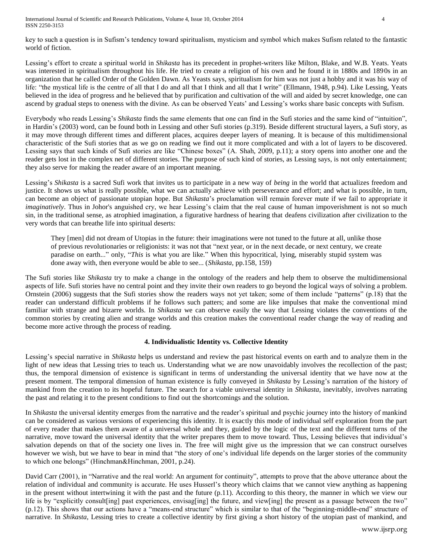International Journal of Scientific and Research Publications, Volume 4, Issue 10, October 2014 4 ISSN 2250-3153

key to such a question is in Sufism's tendency toward spiritualism, mysticism and symbol which makes Sufism related to the fantastic world of fiction.

Lessing's effort to create a spiritual world in *Shikasta* has its precedent in prophet-writers like Milton, Blake, and W.B. Yeats. Yeats was interested in spiritualism throughout his life. He tried to create a religion of his own and he found it in 1880s and 1890s in an organization that he called Order of the Golden Dawn. As Yeasts says, spiritualism for him was not just a hobby and it was his way of life: "the mystical life is the centre of all that I do and all that I think and all that I write" (Ellmann, 1948, p.94). Like Lessing, Yeats believed in the idea of progress and he believed that by purification and cultivation of the will and aided by secret knowledge, one can ascend by gradual steps to oneness with the divine. As can be observed Yeats' and Lessing's works share basic concepts with Sufism.

Everybody who reads Lessing's *Shikasta* finds the same elements that one can find in the Sufi stories and the same kind of "intuition", in Hardin's (2003) word, can be found both in Lessing and other Sufi stories (p.319). Beside different structural layers, a Sufi story, as it may move through different times and different places, acquires deeper layers of meaning. It is because of this multidimensional characteristic of the Sufi stories that as we go on reading we find out it more complicated and with a lot of layers to be discovered. Lessing says that such kinds of Sufi stories are like "Chinese boxes" (A. Shah, 2009, p.11); a story opens into another one and the reader gets lost in the complex net of different stories. The purpose of such kind of stories, as Lessing says, is not only entertainment; they also serve for making the reader aware of an important meaning.

Lessing's *Shikasta* is a sacred Sufi work that invites us to participate in a new way of *being* in the world that actualizes freedom and justice. It shows us what is really possible, what we can actually achieve with perseverance and effort; and what is possible, in turn, can become an object of passionate utopian hope. But *Shikasta*'s proclamation will remain forever mute if we fail to appropriate it *imaginatively*. Thus in Johor's anguished cry, we hear Lessing's claim that the real cause of human impoverishment is not so much sin, in the traditional sense, as atrophied imagination, a figurative hardness of hearing that deafens civilization after civilization to the very words that can breathe life into spiritual deserts:

They [men] did not dream of Utopias in the future: their imaginations were not tuned to the future at all, unlike those of previous revolutionaries or religionists: it was not that "next year, or in the next decade, or next century, we create paradise on earth..." only, "*This* is what you are like." When this hypocritical, lying, miserably stupid system was done away with, then everyone would be able to see... (*Shikasta*, pp.158, 159)

The Sufi stories like *Shikasta* try to make a change in the ontology of the readers and help them to observe the multidimensional aspects of life. Sufi stories have no central point and they invite their own readers to go beyond the logical ways of solving a problem. Ornstein (2006) suggests that the Sufi stories show the readers ways not yet taken; some of them include "patterns" (p.18) that the reader can understand difficult problems if he follows such patters; and some are like impulses that make the conventional mind familiar with strange and bizarre worlds. In *Shikasta* we can observe easily the way that Lessing violates the conventions of the common stories by creating alien and strange worlds and this creation makes the conventional reader change the way of reading and become more active through the process of reading.

# **4. Individualistic Identity vs. Collective Identity**

Lessing's special narrative in *Shikasta* helps us understand and review the past historical events on earth and to analyze them in the light of new ideas that Lessing tries to teach us. Understanding what we are now unavoidably involves the recollection of the past; thus, the temporal dimension of existence is significant in terms of understanding the universal identity that we have now at the present moment. The temporal dimension of human existence is fully conveyed in *Shikasta* by Lessing's narration of the history of mankind from the creation to its hopeful future. The search for a viable universal identity in *Shikasta*, inevitably, involves narrating the past and relating it to the present conditions to find out the shortcomings and the solution.

In *Shikasta* the universal identity emerges from the narrative and the reader's spiritual and psychic journey into the history of mankind can be considered as various versions of experiencing this identity. It is exactly this mode of individual self exploration from the part of every reader that makes them aware of a universal whole and they, guided by the logic of the text and the different turns of the narrative, move toward the universal identity that the writer prepares them to move toward. Thus, Lessing believes that individual's salvation depends on that of the society one lives in. The free will might give us the impression that we can construct ourselves however we wish, but we have to bear in mind that "the story of one's individual life depends on the larger stories of the community to which one belongs" (Hinchman&Hinchman, 2001, p.24).

David Carr (2001), in "Narrative and the real world: An argument for continuity", attempts to prove that the above utterance about the relation of individual and community is accurate. He uses Husserl's theory which claims that we cannot view anything as happening in the present without intertwining it with the past and the future (p.11). According to this theory, the manner in which we view our life is by "explicitly consult[ing] past experiences, envisag[ing] the future, and view[ing] the present as a passage between the two" (p.12). This shows that our actions have a "means-end structure" which is similar to that of the "beginning-middle-end" structure of narrative. In *Shikasta,* Lessing tries to create a collective identity by first giving a short history of the utopian past of mankind, and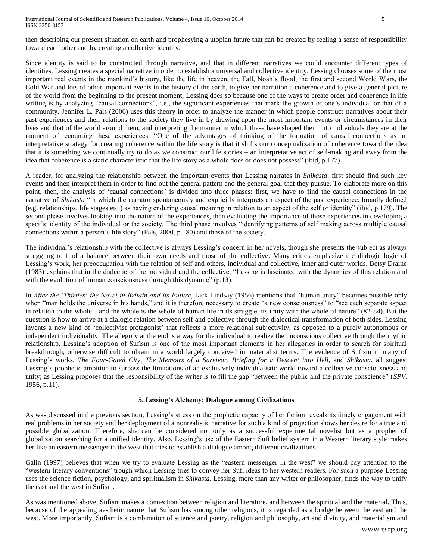then describing our present situation on earth and prophesying a utopian future that can be created by feeling a sense of responsibility toward each other and by creating a collective identity.

Since identity is said to be constructed through narrative, and that in different narratives we could encounter different types of identities, Lessing creates a special narrative in order to establish a universal and collective identity. Lessing chooses some of the most important real events in the mankind's history, like the life in heaven, the Fall, Noah's flood, the first and second World Wars, the Cold War and lots of other important events in the history of the earth, to give her narration a coherence and to give a general picture of the world from the beginning to the present moment; Lessing does so because one of the ways to create order and coherence in life writing is by analyzing "causal connections", i.e., the significant experiences that mark the growth of one's individual or that of a community. Jennifer L. Pals (2006) uses this theory in order to analyze the manner in which people construct narratives about their past experiences and their relations to the society they live in by drawing upon the most important events or circumstances in their lives and that of the world around them, and interpreting the manner in which these have shaped them into individuals they are at the moment of recounting these experiences: "One of the advantages of thinking of the formation of causal connections as an interpretative strategy for creating coherence within the life story is that it shifts our conceptualization of coherence toward the idea that it is something we continually try to do as we construct our life stories – an interpretative act of self-making and away from the idea that coherence is a static characteristic that the life story as a whole does or does not possess" (ibid, p.177).

A reader, for analyzing the relationship between the important events that Lessing narrates in *Shikasta*, first should find such key events and then interpret them in order to find out the general pattern and the general goal that they pursue. To elaborate more on this point, then, the analysis of 'causal connections' is divided into three phases: first, we have to find the causal connections in the narrative of *Shikasta* "in which the narrator spontaneously and explicitly interprets an aspect of the past experience, broadly defined (e.g. relationships, life stages etc.) as having enduring causal meaning in relation to an aspect of the self or identity" (ibid, p.179). The second phase involves looking into the nature of the experiences, then evaluating the importance of those experiences in developing a specific identity of the individual or the society. The third phase involves "identifying patterns of self making across multiple causal connections within a person's life story" (Pals, 2000, p.180) and those of the society.

The individual's relationship with the collective is always Lessing's concern in her novels, though she presents the subject as always struggling to find a balance between their own needs and those of the collective. Many critics emphasize the dialogic logic of Lessing's work, her preoccupation with the relation of self and others, individual and collective, inner and outer worlds. Betsy Draine (1983) explains that in the dialectic of the individual and the collective, "Lessing is fascinated with the dynamics of this relation and with the evolution of human consciousness through this dynamic" (p.13).

In *After the 'Thirties: the Novel in Britain and its Future*, Jack Lindsay (1956) mentions that "human unity" becomes possible only when "man holds the universe in his hands," and it is therefore necessary to create "a new consciousness" to "see each separate aspect in relation to the whole—and the whole is the whole of human life in its struggle, its unity with the whole of nature" (82-84). But the question is how to arrive at a dialogic relation between self and collective through the dialectical transformation of both sides. Lessing invents a new kind of 'collectivist protagonist' that reflects a more relational subjectivity, as opposed to a purely autonomous or independent individuality. The allegory at the end is a way for the individual to realize the unconscious collective through the mythic relationship. Lessing's adoption of Sufism is one of the most important elements in her allegories in order to search for spiritual breakthrough, otherwise difficult to obtain in a world largely conceived in materialist terms. The evidence of Sufism in many of Lessing's works, *The Four-Gated City*, *The Memoirs of a Survivor*, *Briefing for a Descent into Hell*, and *Shikasta*, all suggest Lessing's prophetic ambition to surpass the limitations of an exclusively individualistic world toward a collective consciousness and unity; as Lessing proposes that the responsibility of the writer is to fill the gap "between the public and the private conscience" (*SPV*, 1956, p.11).

# **5. Lessing's Alchemy: Dialogue among Civilizations**

As was discussed in the previous section, Lessing's stress on the prophetic capacity of her fiction reveals its timely engagement with real problems in her society and her deployment of a nonrealistic narrative for such a kind of projection shows her desire for a true and possible globalization. Therefore, she can be considered not only as a successful experimental novelist but as a prophet of globalization searching for a unified identity. Also, Lessing's use of the Eastern Sufi belief system in a Western literary style makes her like an eastern messenger in the west that tries to establish a dialogue among different civilizations.

Galin (1997) believes that when we try to evaluate Lessing as the "eastern messenger in the west" we should pay attention to the "western literary conventions" trough which Lessing tries to convey her Sufi ideas to her western readers. For such a purpose Lessing uses the science fiction, psychology, and spiritualism in *Shikasta*. Lessing, more than any writer or philosopher, finds the way to unify the east and the west in Sufism.

As was mentioned above, Sufism makes a connection between religion and literature, and between the spiritual and the material. Thus, because of the appealing aesthetic nature that Sufism has among other religions, it is regarded as a bridge between the east and the west. More importantly, Sufism is a combination of science and poetry, religion and philosophy, art and divinity, and materialism and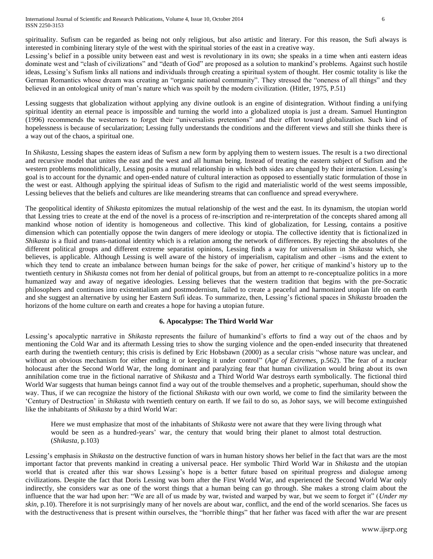spirituality. Sufism can be regarded as being not only religious, but also artistic and literary. For this reason, the Sufi always is interested in combining literary style of the west with the spiritual stories of the east in a creative way.

Lessing's belief in a possible unity between east and west is revolutionary in its own; she speaks in a time when anti eastern ideas dominate west and "clash of civilizations" and "death of God" are proposed as a solution to mankind's problems. Against such hostile ideas, Lessing's Sufism links all nations and individuals through creating a spiritual system of thought. Her cosmic totality is like the German Romantics whose dream was creating an "organic national community". They stressed the "oneness of all things" and they believed in an ontological unity of man's nature which was spoilt by the modern civilization. (Hitler, 1975, P.51)

Lessing suggests that globalization without applying any divine outlook is an engine of disintegration. Without finding a unifying spiritual identity an eternal peace is impossible and turning the world into a globalized utopia is just a dream. Samuel Huntington (1996) recommends the westerners to forget their "universalists pretentions" and their effort toward globalization. Such kind of hopelessness is because of secularization; Lessing fully understands the conditions and the different views and still she thinks there is a way out of the chaos, a spiritual one.

In *Shikasta*, Lessing shapes the eastern ideas of Sufism a new form by applying them to western issues. The result is a two directional and recursive model that unites the east and the west and all human being. Instead of treating the eastern subject of Sufism and the western problems monolithically, Lessing posits a mutual relationship in which both sides are changed by their interaction. Lessing's goal is to account for the dynamic and open-ended nature of cultural interaction as opposed to essentially static formulation of those in the west or east. Although applying the spiritual ideas of Sufism to the rigid and materialistic world of the west seems impossible, Lessing believes that the beliefs and cultures are like meandering streams that can confluence and spread everywhere.

The geopolitical identity of *Shikasta* epitomizes the mutual relationship of the west and the east. In its dynamism, the utopian world that Lessing tries to create at the end of the novel is a process of re-inscription and re-interpretation of the concepts shared among all mankind whose notion of identity is homogeneous and collective. This kind of globalization, for Lessing, contains a positive dimension which can potentially oppose the twin dangers of mere ideology or utopia. The collective identity that is fictionalized in *Shikasta* is a fluid and trans-national identity which is a relation among the network of differences. By rejecting the absolutes of the different political groups and different extreme separatist opinions, Lessing finds a way for universalism in *Shikasta* which, she believes, is applicable. Although Lessing is well aware of the history of imperialism, capitalism and other –isms and the extent to which they tend to create an imbalance between human beings for the sake of power, her critique of mankind's history up to the twentieth century in *Shikasta* comes not from her denial of political groups, but from an attempt to re-conceptualize politics in a more humanized way and away of negative ideologies. Lessing believes that the western tradition that begins with the pre-Socratic philosophers and continues into existentialism and postmodernism, failed to create a peaceful and harmonized utopian life on earth and she suggest an alternative by using her Eastern Sufi ideas. To summarize, then, Lessing's fictional spaces in *Shikasta* broaden the horizons of the home culture on earth and creates a hope for having a utopian future.

#### **6. Apocalypse: The Third World War**

Lessing's apocalyptic narrative in *Shikasta* represents the failure of humankind's efforts to find a way out of the chaos and by mentioning the Cold War and its aftermath Lessing tries to show the surging violence and the open-ended insecurity that threatened earth during the twentieth century; this crisis is defined by Eric Hobsbawn (2000) as a secular crisis "whose nature was unclear, and without an obvious mechanism for either ending it or keeping it under control" (*Age of Extremes*, p.562). The fear of a nuclear holocaust after the Second World War, the long dominant and paralyzing fear that human civilization would bring about its own annihilation come true in the fictional narrative of *Shikasta* and a Third World War destroys earth symbolically. The fictional third World War suggests that human beings cannot find a way out of the trouble themselves and a prophetic, superhuman, should show the way. Thus, if we can recognize the history of the fictional *Shikasta* with our own world, we come to find the similarity between the 'Century of Destruction' in *Shikasta* with twentieth century on earth. If we fail to do so, as Johor says, we will become extinguished like the inhabitants of *Shikasta* by a third World War:

Here we must emphasize that most of the inhabitants of *Shikasta* were not aware that they were living through what would be seen as a hundred-years' war, the century that would bring their planet to almost total destruction. (*Shikasta,* p.103)

Lessing's emphasis in *Shikasta* on the destructive function of wars in human history shows her belief in the fact that wars are the most important factor that prevents mankind in creating a universal peace. Her symbolic Third World War in *Shikasta* and the utopian world that is created after this war shows Lessing's hope is a better future based on spiritual progress and dialogue among civilizations. Despite the fact that Doris Lessing was born after the First World War, and experienced the Second World War only indirectly, she considers war as one of the worst things that a human being can go through. She makes a strong claim about the influence that the war had upon her: "We are all of us made by war, twisted and warped by war, but we seem to forget it" (*Under my skin*, p.10). Therefore it is not surprisingly many of her novels are about war, conflict, and the end of the world scenarios. She faces us with the destructiveness that is present within ourselves, the "horrible things" that her father was faced with after the war are present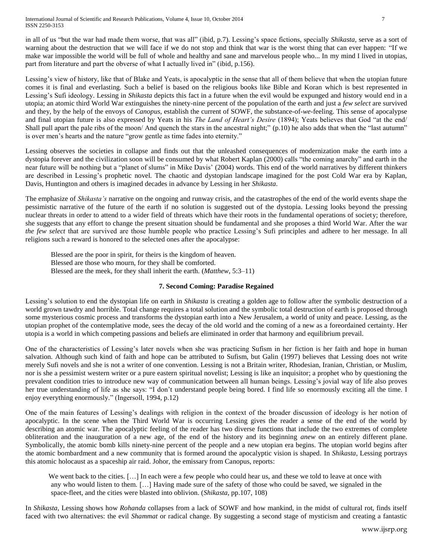International Journal of Scientific and Research Publications, Volume 4, Issue 10, October 2014 7 ISSN 2250-3153

in all of us "but the war had made them worse, that was all" (ibid, p.7). Lessing's space fictions, specially *Shikasta*, serve as a sort of warning about the destruction that we will face if we do not stop and think that war is the worst thing that can ever happen: "If we make war impossible the world will be full of whole and healthy and sane and marvelous people who... In my mind I lived in utopias, part from literature and part the obverse of what I actually lived in" (ibid, p.156).

Lessing's view of history, like that of Blake and Yeats, is apocalyptic in the sense that all of them believe that when the utopian future comes it is final and everlasting. Such a belief is based on the religious books like Bible and Koran which is best represented in Lessing's Sufi ideology. Lessing in *Shikasta* depicts this fact in a future when the evil would be expunged and history would end in a utopia; an atomic third World War extinguishes the ninety-nine percent of the population of the earth and just a *few select* are survived and they, by the help of the envoys of *Canopus*, establish the current of SOWF, the substance-of-*we*-feeling. This sense of apocalypse and final utopian future is also expressed by Yeats in his *The Land of Heart's Desire* (1894); Yeats believes that God "at the end/ Shall pull apart the pale ribs of the moon/ And quench the stars in the ancestral night;" (p.10) he also adds that when the "last autumn" is over men's hearts and the nature "grow gentle as time fades into eternity."

Lessing observes the societies in collapse and finds out that the unleashed consequences of modernization make the earth into a dystopia forever and the civilization soon will be consumed by what Robert Kaplan (2000) calls "the coming anarchy" and earth in the near future will be nothing but a "planet of slums" in Mike Davis' (2004) words. This end of the world narratives by different thinkers are described in Lessing's prophetic novel*.* The chaotic and dystopian landscape imagined for the post Cold War era by Kaplan, Davis, Huntington and others is imagined decades in advance by Lessing in her *Shikasta*.

The emphasize of *Shikasta's* narrative on the ongoing and runway crisis, and the catastrophes of the end of the world events shape the pessimistic narrative of the future of the earth if no solution is suggested out of the dystopia. Lessing looks beyond the pressing nuclear threats in order to attend to a wider field of threats which have their roots in the fundamental operations of society; therefore, she suggests that any effort to change the present situation should be fundamental and she proposes a third World War. After the war *the few select* that are survived are those humble people who practice Lessing's Sufi principles and adhere to her message. In all religions such a reward is honored to the selected ones after the apocalypse:

Blessed are the poor in spirit, for theirs is the kingdom of heaven. Blessed are those who mourn, for they shall be comforted. Blessed are the meek, for they shall inherit the earth. (*Matthew*, 5:3–11)

## **7. Second Coming: Paradise Regained**

Lessing's solution to end the dystopian life on earth in *Shikasta* is creating a golden age to follow after the symbolic destruction of a world grown tawdry and horrible. Total change requires a total solution and the symbolic total destruction of earth is proposed through some mysterious cosmic process and transforms the dystopian earth into a New Jerusalem, a world of unity and peace. Lessing, as the utopian prophet of the contemplative mode, sees the decay of the old world and the coming of a new as a foreordained certainty. Her utopia is a world in which competing passions and beliefs are eliminated in order that harmony and equilibrium prevail.

One of the characteristics of Lessing's later novels when she was practicing Sufism in her fiction is her faith and hope in human salvation. Although such kind of faith and hope can be attributed to Sufism, but Galin (1997) believes that Lessing does not write merely Sufi novels and she is not a writer of one convention. Lessing is not a Britain writer, Rhodesian, Iranian, Christian, or Muslim, nor is she a pessimist western writer or a pure eastern spiritual novelist; Lessing is like an inquisitor; a prophet who by questioning the prevalent condition tries to introduce new way of communication between all human beings. Lessing's jovial way of life also proves her true understanding of life as she says: "I don't understand people being bored. I find life so enormously exciting all the time. I enjoy everything enormously." (Ingersoll, 1994, p.12)

One of the main features of Lessing's dealings with religion in the context of the broader discussion of ideology is her notion of apocalyptic. In the scene when the Third World War is occurring Lessing gives the reader a sense of the end of the world by describing an atomic war. The apocalyptic feeling of the reader has two diverse functions that include the two extremes of complete obliteration and the inauguration of a new age, of the end of the history and its beginning *anew* on an entirely different plane. Symbolically, the atomic bomb kills ninety-nine percent of the people and a new utopian era begins. The utopian world begins after the atomic bombardment and a new community that is formed around the apocalyptic vision is shaped. In *Shikasta*, Lessing portrays this atomic holocaust as a spaceship air raid. Johor, the emissary from Canopus, reports:

We went back to the cities. [...] In each were a few people who could hear us, and these we told to leave at once with any who would listen to them. […] Having made sure of the safety of those who could be saved, we signaled in the space-fleet, and the cities were blasted into oblivion. (*Shikasta*, pp.107, 108)

In *Shikasta*, Lessing shows how *Rohanda* collapses from a lack of SOWF and how mankind, in the midst of cultural rot, finds itself faced with two alternatives: the evil *Shammat* or radical change. By suggesting a second stage of mysticism and creating a fantastic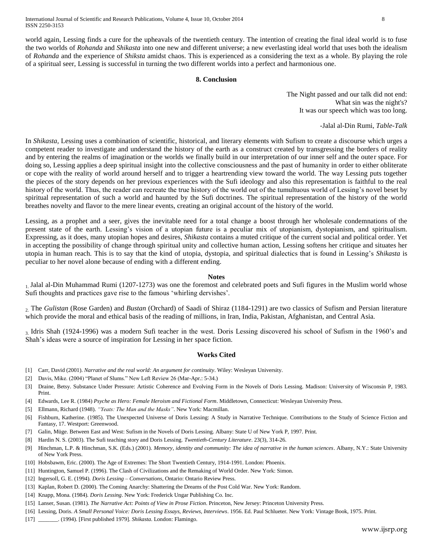world again, Lessing finds a cure for the upheavals of the twentieth century. The intention of creating the final ideal world is to fuse the two worlds of *Rohanda* and *Shikasta* into one new and different universe; a new everlasting ideal world that uses both the idealism of *Rohanda* and the experience of *Shiksta* amidst chaos. This is experienced as a considering the text as a whole. By playing the role of a spiritual seer, Lessing is successful in turning the two different worlds into a perfect and harmonious one.

## **8. Conclusion**

The Night passed and our talk did not end: What sin was the night's? It was our speech which was too long.

-Jalal al-Din Rumi, *Table-Talk*

In *Shikasta,* Lessing uses a combination of scientific, historical, and literary elements with Sufism to create a discourse which urges a competent reader to investigate and understand the history of the earth as a construct created by transgressing the borders of reality and by entering the realms of imagination or the worlds we finally build in our interpretation of our inner self and the outer space. For doing so, Lessing applies a deep spiritual insight into the collective consciousness and the past of humanity in order to either obliterate or cope with the reality of world around herself and to trigger a heartrending view toward the world. The way Lessing puts together the pieces of the story depends on her previous experiences with the Sufi ideology and also this representation is faithful to the real history of the world. Thus, the reader can recreate the true history of the world out of the tumultuous world of Lessing's novel beset by spiritual representation of such a world and haunted by the Sufi doctrines. The spiritual representation of the history of the world breathes novelty and flavor to the mere linear events, creating an original account of the history of the world.

Lessing, as a prophet and a seer, gives the inevitable need for a total change a boost through her wholesale condemnations of the present state of the earth. Lessing's vision of a utopian future is a peculiar mix of utopianism, dystopianism, and spiritualism. Expressing, as it does, many utopian hopes and desires, *Shikasta* contains a muted critique of the current social and political order. Yet in accepting the possibility of change through spiritual unity and collective human action, Lessing softens her critique and situates her utopia in human reach. This is to say that the kind of utopia, dystopia, and spiritual dialectics that is found in Lessing's *Shikasta* is peculiar to her novel alone because of ending with a different ending.

#### **Notes**

1. Jalal al-Din Muhammad Rumi (1207-1273) was one the foremost and celebrated poets and Sufi figures in the Muslim world whose Sufi thoughts and practices gave rise to the famous 'whirling dervishes'.

2. The *Gulistan* (Rose Garden) and *Bustan* (Orchard) of Saadi of Shiraz (1184-1291) are two classics of Sufism and Persian literature which provide the moral and ethical basis of the reading of millions, in Iran, India, Pakistan, Afghanistan, and Central Asia.

3. Idris Shah (1924-1996) was a modern Sufi teacher in the west. Doris Lessing discovered his school of Sufism in the 1960's and Shah's ideas were a source of inspiration for Lessing in her space fiction.

#### **Works Cited**

- [1] Carr, David (2001). *Narrative and the real world: An argument for continuity*. Wiley: Wesleyan University.
- [2] Davis, Mike. (2004) "Planet of Slums." New Left Review 26 (Mar-Apr.: 5-34.)
- [3] Draine, Betsy. Substance Under Pressure: Artistic Coherence and Evolving Form in the Novels of Doris Lessing. Madison: University of Wisconsin P, 1983. Print.
- [4] Edwards, Lee R. (1984) *Psyche as Hero: Female Heroism and Fictional Form*. Middletown, Connecticut: Wesleyan University Press.
- [5] Ellmann, Richard (1948). *"Yeats: The Man and the Masks"*. New York: Macmillan.
- [6] Fishburn, Katherine. (1985). The Unexpected Universe of Doris Lessing: A Study in Narrative Technique. Contributions to the Study of Science Fiction and Fantasy, 17. Westport: Greenwood.
- [7] Galin, Müge. Between East and West: Sufism in the Novels of Doris Lessing. Albany: State U of New York P, 1997. Print.
- [8] Hardin N. S. (2003). The Sufi teaching story and Doris Lessing. *Twentieth-Century Literature*. 23(3), 314-26.
- [9] Hinchman, L.P. & Hinchman, S.K. (Eds.) (2001). *Memory, identity and community: The idea of narrative in the human sciences*. Albany, N.Y.: State University of New York Press.
- [10] Hobsbawm, Eric. (2000). The Age of Extremes: The Short Twentieth Century, 1914-1991. London: Phoenix.
- [11] Huntington, Samuel P. (1996). The Clash of Civilizations and the Remaking of World Order. New York: Simon.
- [12] Ingersoll, G. E. (1994). *Doris Lessing – Conversations*, Ontario: Ontario Review Press.
- [13] Kaplan, Robert D. (2000). The Coming Anarchy: Shattering the Dreams of the Post Cold War. New York: Random.
- [14] Knapp, Mona. (1984). *Doris Lessing*. New York: Frederick Ungar Publishing Co. Inc.
- [15] Lanser, Susan. (1981). *The Narrative Act: Points of View in Prose Fiction*. Princeton, New Jersey: Princeton University Press.
- [16] Lessing, Doris. *A Small Personal Voice: Doris Lessing Essays, Reviews, Interviews*. 1956. Ed. Paul Schlueter. New York: Vintage Book, 1975. Print.
- [17] \_\_\_\_\_\_\_. (1994). [First published 1979]. *Shikasta*[. London:](http://en.wikipedia.org/wiki/London) [Flamingo.](http://en.wikipedia.org/wiki/HarperCollins)